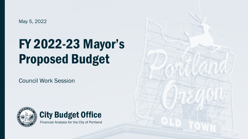May 5, 2022

# FY 2022-23 Mayor's Proposed Budget

Council Work Session



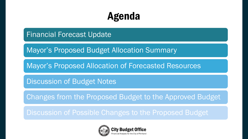# Agenda

Financial Forecast Update

Mayor's Proposed Budget Allocation Summary

Mayor's Proposed Allocation of Forecasted Resources

Discussion of Budget Notes

Changes from the Proposed Budget to the Approved Budget

Discussion of Possible Changes to the Proposed Budget

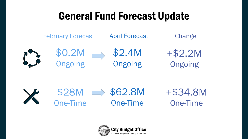# General Fund Forecast Update





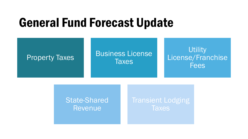# General Fund Forecast Update



### State-Shared Revenue

### Transient Lodging **Taxes**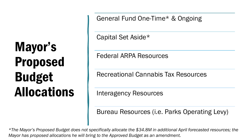General Fund One-Time\* & Ongoing

Capital Set Aside\*

Federal ARPA Resources

Recreational Cannabis Tax Resources

Interagency Resources

Bureau Resources (i.e. Parks Operating Levy)

*\*The Mayor's Proposed Budget does not specifically allocate the \$34.8M in additional April forecasted resources; the Mayor has proposed allocations he will bring to the Approved Budget as an amendment.*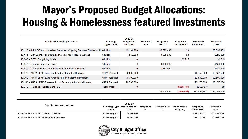# Mayor's Proposed Budget Allocations: Housing & Homelessness featured investments

| <b>Portland Housing Bureau</b>                                                     | <b>Funding</b><br><b>Type Name</b> | 2022-23<br>Requested<br><b>DP Total</b> | <b>Proposed</b><br>FTE. | <b>Proposed</b><br>GF 1x | <b>Proposed</b><br><b>GF Ongoing</b> | <b>Proposed</b><br>Other Rev. | <b>Proposed</b><br>Total |
|------------------------------------------------------------------------------------|------------------------------------|-----------------------------------------|-------------------------|--------------------------|--------------------------------------|-------------------------------|--------------------------|
| 13,120 - Joint Office of Homeless Services - Ongoing Services Funded with Addition |                                    | 13,184,906                              |                         | \$6,592,453              | \$0                                  |                               | \$6,592,453              |
| 13,141 - City/County Fall Strategic Investments in Houselessness                   | Addition                           | 4,850,000                               |                         | \$925,000                | \$0                                  |                               | \$925,000                |
| 13,200 - DCTU Bargaining Costs                                                     | <b>Addition</b>                    | 0                                       |                         |                          | \$9,715                              |                               | \$9,715                  |
| 13,613 - General Fund Carryover                                                    | Addition                           | 0                                       |                         | \$150,000                |                                      |                               | \$150,000                |
| 13,672 - General Fund: Land Banking for Affordable Housing                         | <b>Addition</b>                    | 0                                       |                         | \$387,500                |                                      |                               | \$387,500                |
| 12,978 - ARPA LFRF: Land Banking for Affordable Housing                            | <b>ARPA Request</b>                | 32,000,000                              |                         |                          |                                      | \$5,452,500                   | \$5,452,500              |
| 13,062 - ARPA LFRF: 82nd Avenue Anti-displacement Program                          | <b>ARPA Request</b>                | 10,700,000                              |                         |                          |                                      | \$2,500,000                   | \$2,500,000              |
| 13,159 - ARPA LFRF: Preservation of Currently Affordable Housing                   | <b>ARPA Request</b>                | 20,700,000                              |                         |                          |                                      | \$5,175,000                   | \$5,175,000              |
| 13,676 - Revenue Replacement - SCT                                                 | Realignment                        | 0                                       |                         |                          | (\$356,707)                          | \$356,707                     | \$0                      |
|                                                                                    |                                    |                                         |                         | \$8,054,953              | (\$346,992)                          | \$13,484,207                  | \$21,192,168             |

| <b>Special Appropriations</b>              | <b>Name</b>         | 2022-23<br><b>Funding Type Requested DP</b><br>Total | Proposed<br><b>FTE</b> | <b>Proposed GF</b><br>1x | <b>Proposed GF</b><br>Onaoina | Proposed<br>Other Rev. | Proposed<br>Total |
|--------------------------------------------|---------------------|------------------------------------------------------|------------------------|--------------------------|-------------------------------|------------------------|-------------------|
| 13,087 - ARPA LFRF: Streets to Stability   | <b>ARPA Request</b> | 86678420                                             |                        |                          |                               | \$36.239.210           | \$36,239,210      |
| 13,193 - ARPA LFRF: Motel Shelter Strategy | <b>ARPA Request</b> | 16522000                                             |                        |                          |                               | \$8,261,000            | \$8,261,000       |

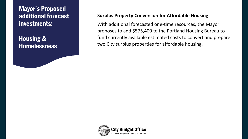Mayor's Proposed additional forecast investments:

Housing & **Homelessness** 

### **Surplus Property Conversion for Affordable Housing**

With additional forecasted one-time resources, the Mayor proposes to add \$575,400 to the Portland Housing Bureau to fund currently available estimated costs to convert and prepare two City surplus properties for affordable housing.

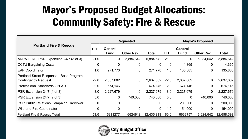# Mayor's Proposed Budget Allocations: Community Safety: Fire & Rescue

|                                                                       | <b>Requested</b> |                               |                   |              |                | <b>Mayor's Proposed</b>       |                |              |  |  |
|-----------------------------------------------------------------------|------------------|-------------------------------|-------------------|--------------|----------------|-------------------------------|----------------|--------------|--|--|
| <b>Portland Fire &amp; Rescue</b>                                     | <b>FTE</b>       | <b>General</b><br><b>Fund</b> | <b>Other Rev.</b> | <b>Total</b> | <b>FTE</b>     | <b>General</b><br><b>Fund</b> | Other Rev.     | <b>Total</b> |  |  |
| ARPA LFRF: PSR Expansion 24/7 (3 of 3)                                | 21.0             | $\overline{0}$                | 5,884,642         | 5,884,642    | 21.0           | $\mathbf 0$                   | 5,884,642      | 5,884,642    |  |  |
| <b>DCTU Bargaining Costs</b>                                          | $\overline{0}$   | $\overline{0}$                | 0                 | U            | $\overline{0}$ | 4,365                         | $\overline{0}$ | 4,365        |  |  |
| <b>EAP Coordinator</b>                                                | 1.0              | 271,770                       | $\overline{0}$    | 271,770      | 1.0            | 135,885                       | $\overline{0}$ | 135,885      |  |  |
| Portland Street Response - Base Program<br><b>Contingency Request</b> | 22.0             | 2,637,682                     | $\mathbf 0$       | 2,637,682    | 22.0           | 2,637,682                     | $\mathbf 0$    | 2,637,682    |  |  |
| Professional Standards - PF&R                                         | 2.0              | 674,146                       | $\overline{0}$    | 674,146      | 2.0            | 674,146                       | $\overline{0}$ | 674,146      |  |  |
| PSR Expansion 24/7 (1 of 3)                                           | 8.0              | 2,227,679                     | $\overline{0}$    | 2,227,679    | 8.0            | 2,227,679                     | $\overline{0}$ | 2,227,679    |  |  |
| PSR Expansion 24/7 (2 of 3)                                           | 5.0              | $\Omega$                      | 740,000           | 740,000      | 5.0            | $\overline{0}$                | 740,000        | 740,000      |  |  |
| PSR Public Relations Campaign Carryover                               | $\Omega$         | $\overline{0}$                | $\overline{0}$    | 0            | $\overline{0}$ | 200,000                       | $\overline{0}$ | 200,000      |  |  |
| <b>Wildland Fire Coordinator</b>                                      | 0                | $\overline{0}$                | 0                 | $\Omega$     | 1.0            | 154,000                       | $\overline{0}$ | 154,000      |  |  |
| <b>Portland Fire &amp; Rescue Total</b>                               | 59.0             | 5811277                       | 6624642           | 12,435,919   | 60.0           | 6033757                       | 6,624,642      | 12,658,399   |  |  |

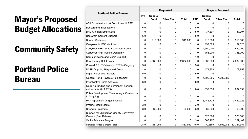## Community Safety

## Portland Police Bureau

|                                                                   | <b>Requested</b> |             |              |              |            | <b>Mayor's Proposed</b> |              |              |  |  |
|-------------------------------------------------------------------|------------------|-------------|--------------|--------------|------------|-------------------------|--------------|--------------|--|--|
| <b>Portland Police Bureau</b>                                     | <b>FTE</b>       | General     |              |              |            | <b>General</b>          |              |              |  |  |
|                                                                   |                  | <b>Fund</b> | Other Rev.   | <b>Total</b> | <b>FTE</b> | <b>Fund</b>             | Other Rev.   | <b>Total</b> |  |  |
| ADA Coordinator - 1.0 Coordinator III FTE                         | 1.0              | $\mathbf 0$ | $\mathbf{0}$ | 0            | 1.0        | $\Omega$                | $\Omega$     | 0            |  |  |
| <b>Background Investigators</b>                                   | 6.0              | 0           | 0            | $\Omega$     | 6.0        | 0                       | 0            | 0            |  |  |
| <b>BHU Clinician Employees</b>                                    | 0                | $\Omega$    | 0            | $\Omega$     | 5.0        | 37,307                  | 0            | 37,307       |  |  |
| Bodyworn Camera Support                                           | 6.0              | $\Omega$    | 0            | $\Omega$     | 6.0        | 0                       | 0            | $\Omega$     |  |  |
| <b>Bureau Wellness</b>                                            | 0                | 915,000     | 0            | 915,000      | 0          | 915,000                 | 0            | 915,000      |  |  |
| Carryover for PS3 Vehicles                                        | 0                | 0           | 0            | 0            | 0          | 192,823                 | 0            | 192,823      |  |  |
| Carryover PPB - DOJ Body Worn Camera                              | 0                | $\Omega$    | 0            | $\Omega$     | 0          | 2,650,000               | 0            | 2,650,000    |  |  |
| Carryover PPB Training Academy                                    | 0                | 0           | 0            | 0            | 0          | 756,000                 | 0            | 756,000      |  |  |
| Communication and Media Support                                   | 0                | $\Omega$    | 0            | $\Omega$     | 1.0        | 0                       | 0            | 0            |  |  |
| <b>Contingency Roll Forward</b>                                   | 0                | 2,632,000   | 0            | 2,632,000    | 0          | 2,632,000               | 0            | 2,632,000    |  |  |
| Convert 3.0 LT Criminalist FTE to Ongoing                         | 3.0              | 0           | 0            | 0            | 3.0        | 0                       | 0            | 0            |  |  |
| <b>DCTU Ongoing Bargained Costs</b>                               | 0                | 0           | 0            | 0            | 0          | 179,953                 | 0            | 179,953      |  |  |
| <b>Digital Forensics Analysts</b>                                 | 5.0              | 0           | 0            | $\Omega$     | 5.0        | 0                       | 0            | 0            |  |  |
| General Fund Revenue Replacement                                  | 0                | 0           | 0            | 0            | 0          | $-4,602,085$            | 4,602,085    | 0            |  |  |
| <b>Investigative Crime Analysts</b>                               | 6.0              | 0           | 0            | $\Omega$     | 6.0        | 0                       | 0            | 0            |  |  |
| Ongoing funding and permanent position<br>authority for 8 LT PS3s | 0                | 0           | 0            | 0            | 8.0        | 692,039                 | $\mathbf{0}$ | 692,039      |  |  |
| Policy Development Team Analyst Conversion<br>to Ongoing          | 1.0              | 0           | 0            | $\Omega$     | 1.0        | 0                       | $\mathbf{0}$ | 0            |  |  |
| PPA Agreement Ongoing Costs                                       | 0                | 0           | 0            | $\Omega$     | 0          | 3,442,725               | 0            | 3,442,725    |  |  |
| <b>Precinct Desk Clerks</b>                                       | 3.0              | 0           | 0            | $\Omega$     | 3.0        | 0                       | 0            | 0            |  |  |
| <b>Strength Programs</b>                                          | $-3.0$           | $-60,000$   | 0            | $-60,000$    | $-3.0$     | $-60,000$               | 0            | $-60,000$    |  |  |
| Support for Multnomah County Body Worn<br>Camera (DA+ Defense)    | 0                | 0           | 0            | O            | 0          | 520,000                 | 0            | 520,000      |  |  |
| Victim Advocate Program                                           | 0                | $\Omega$    | 0            | $\Omega$     | 3.0        | 367,107                 | 0            | 367,107      |  |  |
| <b>Portland Police Bureau Total</b>                               | 28.0             | 3487000     | 0            | 3,487,000    | 45.0       | 7722869                 | 4,602,085    | 12,324,954   |  |  |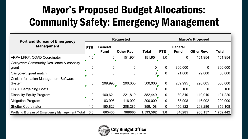# Mayor's Proposed Budget Allocations: Community Safety: Emergency Management

| <b>Portland Bureau of Emergency</b>                  | <b>Requested</b> |                        |                   |           |                | <b>Mayor's Proposed</b>       |                   |           |  |
|------------------------------------------------------|------------------|------------------------|-------------------|-----------|----------------|-------------------------------|-------------------|-----------|--|
| <b>Management</b>                                    | <b>FTE</b>       | General<br><b>Fund</b> | <b>Other Rev.</b> | Total     | <b>FTE</b>     | <b>General</b><br><b>Fund</b> | <b>Other Rev.</b> | Total     |  |
| <b>ARPA LFRF: COAD Coordinator</b>                   | 1.0              | 0                      | 151,954           | 151,954   | 1.0            | $\overline{0}$                | 151,954           | 151,954   |  |
| Carryover: Community Resilience & capacity           |                  |                        |                   |           |                |                               |                   |           |  |
| grant                                                |                  | $\overline{0}$         | 0                 | $\Omega$  | $\overline{0}$ | 300,000                       | $\overline{0}$    | 300,000   |  |
| Carryover: grant match                               |                  | $\overline{0}$         | 0                 |           | $\overline{0}$ | 21,000                        | 29,000            | 50,000    |  |
| <b>Crisis Information Management Software</b>        |                  |                        |                   |           |                |                               |                   |           |  |
| System                                               |                  | 209,995                | 290,005           | 500,000   | $\overline{0}$ | 209,995                       | 290,005           | 500,000   |  |
| <b>DCTU Bargaining Costs</b>                         |                  |                        |                   |           | $\Omega$       | 160                           | $\Omega$          | 160       |  |
| <b>Disability Equity Program</b>                     | 1.0              | 160,621                | 221,819           | 382,440   | $\mathbf 0$    | 80,310                        | 110,910           | 191,220   |  |
| <b>Mitigation Program</b>                            | $\overline{0}$   | 83,998                 | 116,002           | 200,000   | $\mathbf 0$    | 83,998                        | 116,002           | 200,000   |  |
| <b>Shelter Coordinator</b>                           | 1.0              | 150,822                | 208,286           | 359,108   | $\mathbf 0$    | 150,822                       | 208,286           | 359,108   |  |
| <b>Portland Bureau of Emergency Management Total</b> | 3.0              | 605436                 | 988066            | 1,593,502 | 1.0            | 846285                        | 906,157           | 1,752,442 |  |

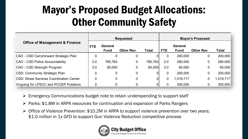# Mayor's Proposed Budget Allocations: Other Community Safety

|                                                 | <b>Requested</b> |                               |                   |              |                | <b>Mayor's Proposed</b>       |                   |              |  |  |
|-------------------------------------------------|------------------|-------------------------------|-------------------|--------------|----------------|-------------------------------|-------------------|--------------|--|--|
| <b>Office of Management &amp; Finance</b>       | <b>FTE</b>       | <b>General</b><br><b>Fund</b> | <b>Other Rev.</b> | <b>Total</b> | <b>FTE</b>     | <b>General</b><br><b>Fund</b> | <b>Other Rev.</b> | <b>Total</b> |  |  |
| CAO - CSD Carryforward Strategic Plan           | $\Omega$         | $\overline{0}$                |                   |              | $\overline{0}$ | 200,000                       | 0                 | 200,000      |  |  |
| <b>CAO - CSD Police Accountability</b>          | 3.0              | 785,763                       |                   | 785,763      | 2.0            | 280,000                       | 0                 | 280,000      |  |  |
| CAO - CSD Strength Program                      | 3.0              | 60,000                        |                   | 60,000       | 3.0            | 60,000                        | $\mathbf 0$       | 60,000       |  |  |
| <b>CSD: Community Strategic Plan</b>            | $\overline{0}$   | $\overline{0}$                |                   |              | $\mathbf 0$    | 200,000                       | $\mathbf 0$       | 200,000      |  |  |
| <b>CSD: Street Services Coordination Center</b> |                  | $\overline{0}$                |                   | 0            | 0              | 1,019,717                     | $\mathbf 0$       | 1,019,717    |  |  |
| Ongoing for LPSCC and PCCEP Positions           |                  | $\overline{0}$                |                   |              | $\overline{0}$ | 300,000                       | $\mathbf 0$       | 300,000      |  |  |

Emergency Communications budget note to retain underspending to support staff

- ▶ Parks: \$1.8M in ARPA resources for continuation and expansion of Parks Rangers
- $\triangleright$  Office of Violence Prevention: \$10.2M in ARPA to support violence prevention over two years; \$1.0 million in 1x GFD to support Gun Violence Reduction competitive process

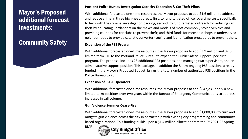### Mayor's Proposed additional forecast investments:

### Community Safety

#### **Portland Police Bureau Investigation Capacity Expansion & Car Theft Pilots**

With additional forecasted one-time resources, the Mayor proposes to add \$1.6 million to address and reduce crime in three high-needs areas: first, to fund targeted officer overtime costs specifically to help with the criminal investigation backlog; second, to fund targeted outreach for reducing car theft by educating Portlanders on the makes and models of most commonly stolen vehicles and providing coupons for car clubs to prevent theft; and third funds for mechanic shops in underserved neighborhoods to provide catalytic converter tagging and identification procedures to prevent theft.

#### **Expansion of the PS3 Program**

With additional forecasted one-time resources, the Mayor proposes to add \$3.9 million and 32.0 limited term FTE to the Portland Police Bureau to expand the Public Safety Support Specialist program. The proposal includes 28 additional PS3 positions, one manager, two supervisors, and an administrative support position. This package, in addition the 8 new ongoing PS3 positions already funded in the Mayor's Proposed Budget, brings the total number of authorized PS3 positions in the Police Bureau to 70.

#### **Expansion of 9-1-1 Operators**

With additional forecasted one-time resources, the Mayor proposes to add \$847,231 and 5.0 new limited term positions over two years within the Bureau of Emergency Communications to address increases in call volume.

#### **Gun Violence Summer Cease-Fire**

With additional forecasted one-time resources, the Mayor proposes to add \$1,000,000 to curb and mitigate gun violence across the city in partnership with existing city programming and communitybased organizations. This funding builds upon a \$1.4 million allocation from the FY 2021-22 Spring

BMP.

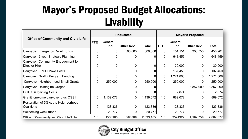# Mayor's Proposed Budget Allocations: Livability

|                                                             | <b>Requested</b> |                               |                   |                |                | <b>Mayor's Proposed</b>       |                |              |  |  |
|-------------------------------------------------------------|------------------|-------------------------------|-------------------|----------------|----------------|-------------------------------|----------------|--------------|--|--|
| <b>Office of Community and Civic Life</b>                   | <b>FTE</b>       | <b>General</b><br><b>Fund</b> | <b>Other Rev.</b> | <b>Total</b>   | <b>FTE</b>     | <b>General</b><br><b>Fund</b> | Other Rev.     | <b>Total</b> |  |  |
| <b>Cannabis Emergency Relief Funds</b>                      | $\overline{0}$   | $\mathbf{0}$                  | 500,000           | 500,000        | $\mathbf 0$    | 151,151                       | 305,750        | 456,901      |  |  |
| Carryover: 2-year Strategic Planning                        | $\overline{0}$   | $\Omega$                      | 0                 | $\Omega$       | $\mathbf 0$    | 648,459                       | $\mathbf 0$    | 648,459      |  |  |
| Carryover: Community Engagement for<br><b>Director Hire</b> | $\Omega$         | $\mathbf 0$                   | $\Omega$          | 0              | $\overline{0}$ | 30,000                        | $\overline{0}$ | 30,000       |  |  |
| Carryover: EPCO Move Costs                                  | 0                | 0                             | 0                 | 0              | $\overline{0}$ | 137,450                       | $\mathbf 0$    | 137,450      |  |  |
| Carryover: Graffiti Program Funding                         | $\overline{0}$   | 0                             | $\Omega$          | $\overline{0}$ | $\mathbf 0$    | 1,271,808                     | 0              | 1,271,808    |  |  |
| Carryover: Neighborhood Small Grants                        | $\overline{0}$   | 250,000                       | $\overline{0}$    | 250,000        | $\overline{0}$ | 250,000                       | $\mathbf 0$    | 250,000      |  |  |
| Carryover: Reimagine Oregon                                 | ∩                |                               | 0                 |                | $\overline{0}$ | $\mathbf 0$                   | 3,857,000      | 3,857,000    |  |  |
| <b>DCTU Bargaining Costs</b>                                | $\overline{0}$   |                               | $\mathbf 0$       | 0              | $\mathbf 0$    | 2,874                         | $\mathbf{0}$   | 2,874        |  |  |
| Graffiti one-time carryover plus OSSII                      | 1.0              | 1,139,072                     | $\overline{0}$    | 1,139,072      | 1.0            | 889,072                       | $\mathbf 0$    | 889,072      |  |  |
| Restoration of 5% cut to Neighborhood<br>Coalitions         | $\mathbf 0$      | 123,336                       | $\mathbf 0$       | 123,336        | $\mathbf 0$    | 123,336                       | $\mathbf 0$    | 123,336      |  |  |
| Welcoming week funds                                        | $\Omega$         | 20,777                        | $\overline{0}$    | 20,777         | $\mathbf 0$    | 20,777                        | 0              | 20,777       |  |  |
| <b>Office of Community and Civic Life Total</b>             | 1.0              | 1533185                       | 500000            | 2,033,185      | 1.0            | 3524927                       | 4, 162, 750    | 7,687,677    |  |  |

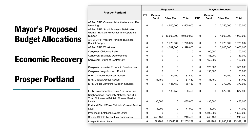## Economic Recovery

## Prosper Portland

|                                                                                    |            |                        | <b>Requested</b> |              |            | <b>Mayor's Proposed</b> |            |              |  |  |
|------------------------------------------------------------------------------------|------------|------------------------|------------------|--------------|------------|-------------------------|------------|--------------|--|--|
| <b>Prosper Portland</b>                                                            | <b>FTE</b> | General<br><b>Fund</b> | Other Rev.       | <b>Total</b> | <b>FTE</b> | General<br><b>Fund</b>  | Other Rev. | <b>Total</b> |  |  |
| ARPA LFRF: Commercial Activations and Re-                                          |            |                        |                  |              |            |                         |            |              |  |  |
| tenanting                                                                          | $\pmb{0}$  | 0                      | 4,500,000        | 4,500,000    | 0          | 0                       | 2,250,000  | 2,250,000    |  |  |
| <b>ARPA LFRF: Small Business Stabilization</b>                                     |            |                        |                  |              |            |                         |            |              |  |  |
| Grants - Eviction Prevention and Operating                                         |            |                        |                  |              |            |                         |            |              |  |  |
| Support                                                                            | $\pmb{0}$  | $\mathbf 0$            | 10,000,000       | 10,000,000   | 0          | 0                       | 4,000,000  | 4,000,000    |  |  |
| <b>ARPA LFRF: Venture Portland Business</b><br><b>District Support</b>             | 0          | 0                      | 1,778,002        | 1,778,002    | 0          | 0                       | 1,778,002  | 1,778,002    |  |  |
| <b>ARPA LFRF: Workforce</b>                                                        | 0          | 0                      | 4,599,000        | 4,599,000    | 0          | $\mathbf{0}$            | 3,000,000  | 3,000,000    |  |  |
| Carryover: Childcare Relief                                                        | 0          | 0                      | $\mathbf{0}$     | $\Omega$     | 0          | 100,000                 | 0          | 100,000      |  |  |
|                                                                                    |            |                        |                  |              | $\Omega$   | 183,000                 |            |              |  |  |
| Carryover: Equitable Development                                                   | 0          | 0                      | 0                | 0            |            |                         | 0          | 183,000      |  |  |
| Carryover: Future of Central City                                                  | 0          | 0                      | 0                | 0            | $\Omega$   | 150,000                 | 0          | 150,000      |  |  |
| Carryover: Inclusive Economic Development                                          | 0          | 0                      | $\mathbf{0}$     | 0            | 0          | 525,000                 | 0          | 525,000      |  |  |
| Carryover: Neighborhood District                                                   | 0          | $\mathbf{0}$           | 0                | $\Omega$     | $\Omega$   | 150,000                 | 0          | 150,000      |  |  |
| <b>IBRN Cannabis Business Advisor</b>                                              | 0          | $\mathbf{0}$           | 131,450          | 131,450      | $\Omega$   | 0                       | 131,450    | 131,450      |  |  |
| <b>IBRN Capital Access Advisor</b>                                                 | 0          | 131,450                | 0                | 131,450      | 0          | 131,450                 | 0          | 131,450      |  |  |
| <b>IBRN Digital Marketing Support Services</b>                                     | 0          | 0                      | 186,450          | 186,450      | 0          | 0                       | 372,900    | 372,900      |  |  |
| <b>IBRN Professional Services A la Carte Pool</b>                                  | 0          | 0                      | 186,450          | 186,450      | 0          | 0                       | 372,900    | 372,900      |  |  |
| Neighborhood Prosperity Network and Old<br>Town Chinatown-Maintain Current Service |            |                        |                  |              |            |                         |            |              |  |  |
| Levels                                                                             | 0          | 435,000                | 0                | 435,000      | 0          | 435,000                 | 0          | 435,000      |  |  |
| Portland Film Office - Maintain Current Service<br>Level                           | 0          | 71,000                 | 0                | 71,000       | 0          | 71,000                  | 0          | 71,000       |  |  |
| Proposed: Establish Events Office                                                  | 0          | $\mathbf{0}$           | 0                | $\Omega$     | 0          | 1,500,000               | 0          | 1,500,000    |  |  |
| <b>Scaling BIPOC Technology Businesses</b>                                         | 0          | 246,450                | 0                | 246,450      | 0          | 246,450                 | 0          | 246,450      |  |  |
| <b>Prosper Portland Total</b>                                                      | 0          | 883900                 | 21381352         | 22,265,252   | 0          | 3491900                 | 11,905,252 | 15,397,152   |  |  |
|                                                                                    |            |                        |                  |              |            |                         |            |              |  |  |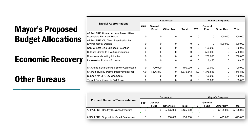## Economic Recovery

## Other Bureaus

|                                                                            | <b>Requested</b> |                        |              |           |              | <b>Mayor's Proposed</b> |              |           |  |  |
|----------------------------------------------------------------------------|------------------|------------------------|--------------|-----------|--------------|-------------------------|--------------|-----------|--|--|
| <b>Special Appropriations</b>                                              | <b>FTE</b>       | General<br><b>Fund</b> | Other Rev.   | Total     | <b>FTE</b>   | General<br><b>Fund</b>  | Other Rev.   | Total     |  |  |
| <b>ARPA LFRF: Human Access Project River</b><br>Accessible Burnside Bridge | 0                | $\mathbf{0}$           | $\Omega$     |           | $\Omega$     | $\Omega$                | 300,000      | 300,000   |  |  |
| ARPA LFRF: Old Town Reactivation by<br><b>Environmental Design</b>         | $\Omega$         | $\Omega$               | $\mathbf{0}$ |           | $\Omega$     | $\Omega$                | 500,000      | 500,000   |  |  |
| <b>Central East Side Business Retention</b>                                | 0                | 0                      | 0            |           | 0            | 100,000                 | 0            | 100,000   |  |  |
| <b>Cultural Grants to Five Organizations</b>                               | 0                | 0                      | $\Omega$     |           | $\Omega$     | 500,000                 | $\mathbf{0}$ | 500,000   |  |  |
| Downtown Marketing Initiative                                              | 0                | $\Omega$               | $\Omega$     |           | $\Omega$     | 250,000                 | 0            | 250,000   |  |  |
| Increase for Portland5 contract                                            | 0                | 0                      | 0            | 0         | $\Omega$     | 6,455                   | $\mathbf{0}$ | 6,455     |  |  |
| SA Arlene Schnitzer Hall Sewer Connection                                  | 0                | 700,000                | 0            | 700,000   | $\mathbf{0}$ | 700,000                 | 0            | 700,000   |  |  |
| SA Multi-Bureau Permit Improvement Proj                                    | 4.0              | 1,376,843              | $\mathbf{0}$ | 1,376,843 | 4.0          | 1,376,843               | 0            | 1,376,843 |  |  |
| Support for BIPOCQ Chambers                                                | 0                | 0                      | 0            |           | $\Omega$     | 700,000                 | 0            | 700,000   |  |  |
| Tenant Recruitment in Old Town                                             | 0                | 0                      | 0            |           | 0            | 35,000                  | 0            | 35,000    |  |  |

| <b>Portland Bureau of Transportation</b>       | <b>Requested</b> |                        |   |                   |              | <b>Mayor's Proposed</b> |                        |  |                   |              |
|------------------------------------------------|------------------|------------------------|---|-------------------|--------------|-------------------------|------------------------|--|-------------------|--------------|
|                                                | <b>FTE</b>       | General<br><b>Fund</b> |   | <b>Other Rev.</b> | <b>Total</b> | <b>FTE</b>              | General<br><b>Fund</b> |  | <b>Other Rev.</b> | <b>Total</b> |
| <b>ARPA LFRF: Healthy Business Program</b>     |                  |                        | 0 | 5,125,000         | 5,125,000    |                         |                        |  | 5.125.000         | 5,125,000    |
| <b>ARPA LFRF: Support for Small Businesses</b> |                  |                        |   | 950,000           | 950,000      | 0                       |                        |  | 475.000           | 475,000      |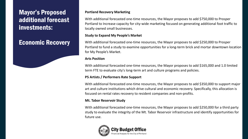### Mayor's Proposed additional forecast investments:

### Economic Recovery

#### **Portland Recovery Marketing**

With additional forecasted one-time resources, the Mayor proposes to add \$750,000 to Prosper Portland to Increase capacity for city-wide marketing focused on generating additional foot traffic to locally owned small businesses.

#### **Study to Expand My People's Market**

With additional forecasted one-time resources, the Mayor proposes to add \$250,000 to Prosper Portland to fund a study to examine opportunities for a long-term brick and mortar downtown location for My People's Market.

#### **Arts Position**

With additional forecasted one-time resources, the Mayor proposes to add \$165,000 and 1.0 limited term FTE to evaluate city's long-term art and culture programs and policies.

#### **P5 Artists / Performers Rate Support**

With additional forecasted one-time resources, the Mayor proposes to add \$350,000 to support major art and culture institutions which drive cultural and economic recovery. Specifically, this allocation is focused on rental rates recovery to resident companies and non-profits.

#### **Mt. Tabor Reservoir Study**

With additional forecasted one-time resources, the Mayor proposes to add \$250,000 for a third party study to evaluate the integrity of the Mt. Tabor Reservoir infrastructure and identify opportunities for future use.

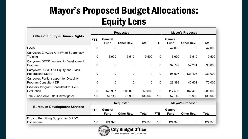# Mayor's Proposed Budget Allocations: Equity Lens

| <b>Requested</b>                                                   |                |                               |                   |                | <b>Mayor's Proposed</b> |                               |                         |              |  |
|--------------------------------------------------------------------|----------------|-------------------------------|-------------------|----------------|-------------------------|-------------------------------|-------------------------|--------------|--|
| <b>Office of Equity &amp; Human Rights</b>                         | <b>FTE</b>     | <b>General</b><br><b>Fund</b> | Other Rev.        | <b>Total</b>   | <b>FTE</b>              | <b>General</b><br><b>Fund</b> | Other Rev.              | <b>Total</b> |  |
| <b>CAAN</b>                                                        | $\Omega$       | $\overline{0}$                | $\mathbf{0}$      | $\overline{0}$ | $\overline{0}$          | 42,000                        | $\overline{0}$          | 42,000       |  |
| Carryover: Citywide Anti-White Supremacy<br>Training               | $\mathbf 0$    | 3,990                         | 5,510             | 9,500          | $\mathbf 0$             | 3,990                         | 5,510                   | 9,500        |  |
| Carryover: DEEP Leadership Development<br>Program                  | $\overline{0}$ | $\mathbf 0$                   | $\overline{0}$    | $\mathbf 0$    | $\mathbf 0$             | 37,799                        | 52,201                  | 90,000       |  |
| Carryover: LGBTQIA+ Equity and Black<br><b>Reparations Study</b>   | $\mathbf 0$    | $\mathbf 0$                   | $\mathbf 0$       | 0              | $\mathbf 0$             | 96,597                        | 133,403                 | 230,000      |  |
| Carryover: Partial support for Disability<br>Program Consultant DP | $\mathbf 0$    | $\mathbf 0$                   | $\mathbf 0$       | $\mathbf 0$    | $\mathbf 0$             | 29,399                        | 40,601                  | 70,000       |  |
| Disability Program Consultant for Self-<br>Evaluation              | $\mathbf 0$    | 146,997                       | 203,003           | 350,000        | $\mathbf 0$             | 117,598                       | 162,402                 | 280,000      |  |
| Title VI and ADA Title II investigator                             | 1.0            | 57,140                        | 78,908            | 136,048        | 1.0                     | 57,140                        | 78,908                  | 136,048      |  |
|                                                                    |                |                               | <b>Requested</b>  |                |                         |                               | <b>Mayor's Proposed</b> |              |  |
| <b>Bureau of Development Services</b>                              | <b>FTE</b>     | <b>General</b><br><b>Fund</b> | <b>Other Rev.</b> | <b>Total</b>   | <b>FTE</b>              | <b>General</b><br><b>Fund</b> | <b>Other Rev.</b>       | <b>Total</b> |  |
| <b>Expand Permitting Support for BIPOC</b><br>Portlanders          | 1.0            | 124,378                       | $\overline{0}$    | 124,378        | 1.0                     | 124,378                       | 0                       | 124,378      |  |

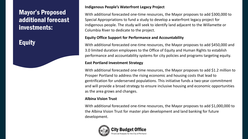### Mayor's Proposed additional forecast investments:

### **Equity**

#### **Indigenous People's Waterfront Legacy Project**

With additional forecasted one-time resources, the Mayor proposes to add \$300,000 to Special Appropriations to fund a study to develop a waterfront legacy project for indigenous people. The study will seek to identify land adjacent to the Willamette or Columbia River to dedicate to the project.

#### **Equity Office Support for Performance and Accountability**

With additional forecasted one-time resources, the Mayor proposes to add \$450,000 and 3.0 limited duration employees to the Office of Equity and Human Rights to establish performance and accountability systems for city policies and programs targeting equity.

#### **East Portland Investment Strategy**

With additional forecasted one-time resources, the Mayor proposes to add \$1.2 million to Prosper Portland to address the rising economic and housing costs that lead to gentrification for underserved populations. This initiative funds a two-year commitment and will provide a broad strategy to ensure inclusive housing and economic opportunities as the area grows and changes.

#### **Albina Vision Trust**

With additional forecasted one-time resources, the Mayor proposes to add \$1,000,000 to the Albina Vision Trust for master plan development and land banking for future development.

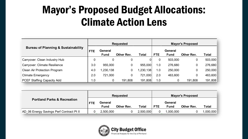# Mayor's Proposed Budget Allocations: Climate Action Lens

|                                                |            |                        | <b>Requested</b> |          | <b>Mayor's Proposed</b> |                               |            |              |  |
|------------------------------------------------|------------|------------------------|------------------|----------|-------------------------|-------------------------------|------------|--------------|--|
| <b>Bureau of Planning &amp; Sustainability</b> | <b>FTE</b> | General<br><b>Fund</b> | Other Rev.       | Total    | <b>FTE</b>              | <b>General</b><br><b>Fund</b> | Other Rev. | <b>Total</b> |  |
| Carryover: Clean Industry Hub                  | 0          | 0                      | $\mathbf 0$      | 0        | 0                       | 503,000                       | 0          | 503,000      |  |
| <b>Carryover: Climate Resilience</b>           | 3.0        | 955,000                | 0                | 955,000  | 1.0                     | 276,680                       | 0          | 276,680      |  |
| <b>Clean Air Protection Program</b>            | 4.0        | ,230,138               | 0                | ,230,138 | 1.0                     | 250,000                       | 0          | 250,000      |  |
| <b>Climate Emergency</b>                       | 2.0        | 721,000                | 0                | 721,000  | 2.0                     | 463,600                       | 0          | 463,600      |  |
| <b>PCEF Staffing Capacity Add</b>              | 1.0        | $\boldsymbol{0}$       | 191,808          | 191,808  | 1.0                     |                               | 191,808    | 191,808      |  |

| <b>Portland Parks &amp; Recreation</b>   |  | <b>Requested</b>       |                   |              |  | <b>Mayor's Proposed</b>       |                   |              |  |
|------------------------------------------|--|------------------------|-------------------|--------------|--|-------------------------------|-------------------|--------------|--|
|                                          |  | General<br><b>Fund</b> | <b>Other Rev.</b> | <b>Total</b> |  | <b>General</b><br><b>Fund</b> | <b>Other Rev.</b> | <b>Total</b> |  |
| AD 06 Energy Savings Perf Contract Pt II |  | 2,500,000              |                   | 2,500,000    |  | 1,000,000                     |                   | 1,000,000    |  |

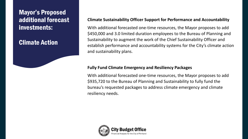### Mayor's Proposed additional forecast investments:

### Climate Action

### **Climate Sustainability Officer Support for Performance and Accountability**

With additional forecasted one-time resources, the Mayor proposes to add \$450,000 and 3.0 limited duration employees to the Bureau of Planning and Sustainability to augment the work of the Chief Sustainability Officer and establish performance and accountability systems for the City's climate action and sustainability plans.

### **Fully Fund Climate Emergency and Resiliency Packages**

With additional forecasted one-time resources, the Mayor proposes to add \$935,720 to the Bureau of Planning and Sustainability to fully fund the bureau's requested packages to address climate emergency and climate resiliency needs.

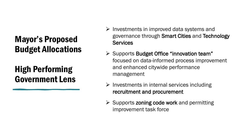## High Performing Government Lens

- $\triangleright$  Investments in improved data systems and governance through Smart Cities and Technology **Services**
- $\triangleright$  Supports Budget Office "innovation team" focused on data-informed process improvement and enhanced citywide performance management
- $\triangleright$  Investments in internal services including recruitment and procurement
- $\triangleright$  Supports zoning code work and permitting improvement task force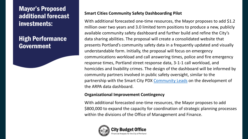### Mayor's Proposed additional forecast investments:

### High Performance Government

### **Smart Cities Community Safety Dashboarding Pilot**

With additional forecasted one-time resources, the Mayor proposes to add \$1.2 million over two years and 3.0 limited term positions to produce a new, publicly available community safety dashboard and further build and refine the City's data sharing abilities. The proposal will create a consolidated website that presents Portland's community safety data in a frequently updated and visually understandable form. Initially, the proposal will focus on emergency communications workload and call answering times, police and fire emergency response times, Portland street response data, 3-1-1 call workload, and homicides and livability crimes. The design of the dashboard will be informed by community partners involved in public safety oversight, similar to the partnership with the Smart City PDX [Community Leads](https://www.smartcitypdx.com/news/introducing-community-leads-cohort) on the development of the ARPA data dashboard.

### **Organizational Improvement Contingency**

With additional forecasted one-time resources, the Mayor proposes to add \$800,000 to expand the capacity for coordination of strategic planning processes within the divisions of the Office of Management and Finance.

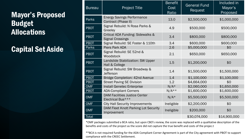Capital Set Aside

| <b>Bureau</b> | <b>Project Title</b>                                         | <b>Benefit</b><br>Cost<br>Ratio | <b>General Fund</b><br>Request | Included in<br>Mayor's<br>Proposed |
|---------------|--------------------------------------------------------------|---------------------------------|--------------------------------|------------------------------------|
| <b>Parks</b>  | <b>Energy Savings Performance</b><br>Contract (Phase II)     | 13.0                            | \$2,500,000                    | \$1,000,000                        |
| <b>PBOT</b>   | Signal Rebuild: N Rosa Parks &<br>Greeley                    | 4.9                             | \$500,000                      | \$500,000                          |
| <b>PBOT</b>   | Critical ADA Funding: Sidewalks &<br><b>Signal Crossings</b> | 3.4                             | \$800,000                      | \$800,000                          |
| <b>PBOT</b>   | Signal Rebuild: SE Foster & 110th                            | 3.4                             | \$600,000                      | \$600,000                          |
| Parks         | <b>Piers Park ADA</b>                                        | 2.6                             | \$5,000,000                    | \$0                                |
| <b>PBOT</b>   | Signal Rebuild: SE 52nd &<br>Woodstock                       | 2.1                             | \$650,000                      | \$650,000                          |
| <b>PBOT</b>   | Landslide Stabilization: SW Upper<br>Hall & College          | 1.5                             | \$1,200,000                    | \$0                                |
| <b>PBOT</b>   | Signal Rebuild: SW Broadway &<br><b>Jefferson</b>            | 1.4                             | \$1,500,000                    | \$1,500,000                        |
| <b>PBOT</b>   | Bridge Completion: 42nd Avenue                               | 1.4                             | \$1,100,000                    | \$1,100,000                        |
| <b>PBOT</b>   | <b>Street Paving SE Division</b>                             | 1.2                             | \$4,664,000                    | \$0                                |
| <b>OMF</b>    | Install Genetec Enterprise                                   | $N/A*$                          | \$2,060,000                    | \$1,650,000                        |
| <b>PBOT</b>   | <b>ADA-Compliant Corners</b>                                 | $N/A**$                         | \$1,600,000                    | \$1,600,000                        |
| <b>OMF</b>    | <b>DAM Facilities Justice Center</b><br>Electrical Bus***    | $N/A*$                          | \$5,500,000                    | \$5,500,000                        |
| <b>OMF</b>    | <b>City Hall Security Improvements</b>                       | Ineligible                      | \$2,200,000                    | \$0                                |
| <b>OMF</b>    | DAM Fleet Knott Parking Lot Security<br>Improvement          | Ineligible                      | \$200,000                      | \$0                                |
| Total         |                                                              |                                 | \$30,074,000                   | \$14,900,000                       |

\*OMF packages submitted a BCA ratio, but upon CBO's review, the score was replaced with a qualitative description of the benefits and costs of the project as the score did not capture the true benefit and costs of the projec.t

\*\*BCA is not required funding for the ADA Compliant Corner Agreement is part of the City agreement with PBOT to support compliance with the CREEC Settlement.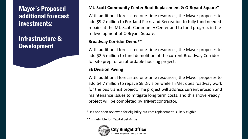### Mayor's Proposed additional forecast investments:

### Infrastructure & Development

### **Mt. Scott Community Center Roof Replacement & O'Bryant Square\***

With additional forecasted one-time resources, the Mayor proposes to add \$9.2 million to Portland Parks and Recreation to fully fund needed repairs at the Mt. Scott Community Center and to fund progress in the redevelopment of O'Bryant Square.

#### **Broadway Corridor Demo\*\***

With additional forecasted one-time resources, the Mayor proposes to add \$2.5 million to fund demolition of the current Broadway Corridor for site prep for an affordable housing project.

### **SE Division Paving**

With additional forecasted one-time resources, the Mayor proposes to add \$4.7 million to repave SE Division while TriMet does roadway work for the bus transit project. The project will address current erosion and maintenance issues to mitigate long term costs, and this shovel-ready project will be completed by TriMet contractor.

\*Has not been reviewed for eligibility but roof replacement is likely eligible

\*\*Is ineligible for Capital Set Aside

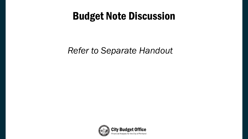# Budget Note Discussion

## *Refer to Separate Handout*

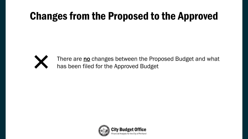# Changes from the Proposed to the Approved



There are no changes between the Proposed Budget and what has been filed for the Approved Budget

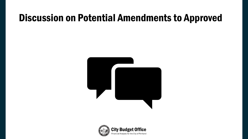## Discussion on Potential Amendments to Approved